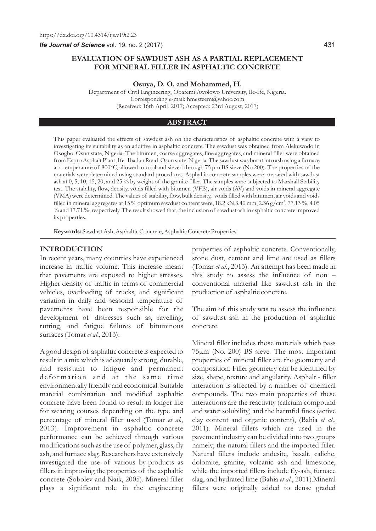# **EVALUATION OF SAWDUST ASH AS A PARTIAL REPLACEMENT FOR MINERAL FILLER IN ASPHALTIC CONCRETE**

**Osuya, D. O. and Mohammed, H.**

Department of Civil Engineering, Obafemi Awolowo University, Ile-Ife, Nigeria. Corresponding e-mail: hmesteem@yahoo.com (Received: 16th April, 2017; Accepted: 23rd August, 2017)

#### **ABSTRACT**

This paper evaluated the effects of sawdust ash on the characteristics of asphaltic concrete with a view to investigating its suitability as an additive in asphaltic concrete. The sawdust was obtained from Alekuwodo in Osogbo, Osun state, Nigeria. The bitumen, coarse aggregates, fine aggregates, and mineral filler were obtained from Espro Asphalt Plant, Ife- Ibadan Road, Osun state, Nigeria. The sawdust was burnt into ash using a furnace at a temperature of 800°C, allowed to cool and sieved through 75 µm BS sieve (No.200). The properties of the materials were determined using standard procedures. Asphaltic concrete samples were prepared with sawdust ash at 0, 5, 10, 15, 20, and 25 % by weight of the granite filler. The samples were subjected to Marshall Stability test. The stability, flow, density, voids filled with bitumen (VFB), air voids (AV) and voids in mineral aggregate (VMA) were determined. The values of stability, flow, bulk density, voids filled with bitumen, air voids and voids filled in mineral aggregates at 15 % optimum sawdust content were, 18.2 kN,3.40 mm, 2.36 g/cm<sup>3</sup>, 77.13 %, 4.05 % and 17.71 %, respectively. The result showed that, the inclusion of sawdust ash in asphaltic concrete improved its properties.

**Keywords:** Sawdust Ash, Asphaltic Concrete, Asphaltic Concrete Properties

## **INTRODUCTION**

In recent years, many countries have experienced increase in traffic volume. This increase meant that pavements are exposed to higher stresses. Higher density of traffic in terms of commercial vehicles, overloading of trucks, and significant variation in daily and seasonal temperature of pavements have been responsible for the development of distresses such as, ravelling, rutting, and fatigue failures of bituminous surfaces (Tomar *et al*., 2013).

A good design of asphaltic concrete is expected to result in a mix which is adequately strong, durable, and resistant to fatigue and permanent deformation and at the same time environmentally friendly and economical. Suitable material combination and modified asphaltic concrete have been found to result in longer life for wearing courses depending on the type and percentage of mineral filler used (Tomar *et al.*, 2013). Improvement in asphaltic concrete performance can be achieved through various modifications such as the use of polymer, glass, fly ash, and furnace slag. Researchers have extensively investigated the use of various by-products as fillers in improving the properties of the asphaltic concrete (Sobolev and Naik, 2005). Mineral filler plays a significant role in the engineering properties of asphaltic concrete. Conventionally, stone dust, cement and lime are used as fillers (Tomar *et al*., 2013). An attempt has been made in this study to assess the influence of non – conventional material like sawdust ash in the production of asphaltic concrete.

The aim of this study was to assess the influence of sawdust ash in the production of asphaltic concrete.

Mineral filler includes those materials which pass 75μm (No. 200) BS sieve. The most important properties of mineral filler are the geometry and composition. Filler geometry can be identified by size, shape, texture and angularity. Asphalt - filler interaction is affected by a number of chemical compounds. The two main properties of these interactions are the reactivity (calcium compound and water solubility) and the harmful fines (active clay content and organic content), (Bahia *et al*., 2011). Mineral fillers which are used in the pavement industry can be divided into two groups namely; the natural fillers and the imported filler. Natural fillers include andesite, basalt, caliche, dolomite, granite, volcanic ash and limestone, while the imported fillers include fly-ash, furnace slag, and hydrated lime (Bahia *et al*., 2011).Mineral fillers were originally added to dense graded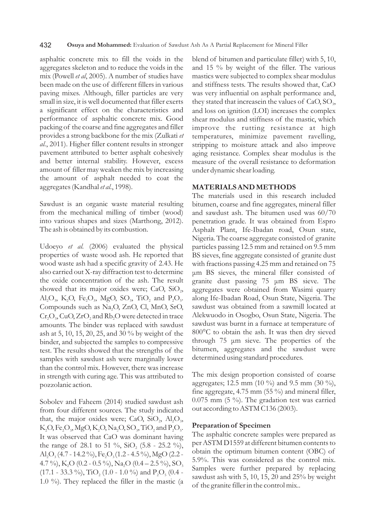asphaltic concrete mix to fill the voids in the aggregates skeleton and to reduce the voids in the mix (Powell *et al*, 2005). A number of studies have been made on the use of different fillers in various paving mixes. Although, filler particles are very small in size, it is well documented that filler exerts a significant effect on the characteristics and performance of asphaltic concrete mix. Good packing of the coarse and fine aggregates and filler provides a strong backbone for the mix (Zulkati *et al.*, 2011). Higher filler content results in stronger pavement attributed to better asphalt cohesively and better internal stability. However, excess amount of filler may weaken the mix by increasing the amount of asphalt needed to coat the aggregates (Kandhal *et al*., 1998).

Sawdust is an organic waste material resulting from the mechanical milling of timber (wood) into various shapes and sizes (Marthong, 2012). The ash is obtained by its combustion.

Udoeyo *et al.* (2006) evaluated the physical properties of waste wood ash. He reported that wood waste ash had a specific gravity of 2.43. He also carried out X-ray diffraction test to determine the oxide concentration of the ash. The result showed that its major oxides were; CaO,  $SiO<sub>2</sub>$ ,  $\text{Al}_2\text{O}_3$ ,  $\text{K}_2\text{O}$ ,  $\text{Fe}_2\text{O}_3$ ,  $\text{MgO}$ ,  $\text{SO}_3$ ,  $\text{TiO}_2$  and  $\text{P}_2\text{O}_5$ . Compounds such as Na<sub>2</sub>O, ZnO, Cl, MnO, SrO,  $Cr_2O_3$ , CuO, ZrO<sub>2</sub> and Rb<sub>2</sub>O were detected in trace amounts. The binder was replaced with sawdust ash at 5, 10, 15, 20, 25, and 30 % by weight of the binder, and subjected the samples to compressive test. The results showed that the strengths of the samples with sawdust ash were marginally lower than the control mix. However, there was increase in strength with curing age. This was attributed to pozzolanic action.

Sobolev and Faheem (2014) studied sawdust ash from four different sources. The study indicated that, the major oxides were; CaO, SiO<sub>2</sub>,  $Al_2O_3$ ,  $K_2O, Fe_2O_3, MgO, K_2O, Na_2O, SO_3, TiO_2$  and  $P_2O_5$ . It was observed that CaO was dominant having the range of 28.1 to 51 %,  $SiO_2$  (5.8 - 25.2 %),  $\text{Al}_2\text{O}_3$  (4.7 - 14.2 %),  $\text{Fe}_2\text{O}_3$  (1.2 - 4.5 %), MgO (2.2 -4.7 %), K<sub>2</sub>O (0.2 - 0.5 %), Na<sub>2</sub>O (0.4 – 2.5 %), SO<sub>3</sub>  $(17.1 - 33.3 \%)$ , TiO,  $(1.0 - 1.0 \%)$  and P<sub>2</sub>O<sub>5</sub>  $(0.4 - 2.2 \%)$ 1.0 %). They replaced the filler in the mastic (a blend of bitumen and particulate filler) with 5, 10, and 15 % by weight of the filler. The various mastics were subjected to complex shear modulus and stiffness tests. The results showed that, CaO was very influential on asphalt performance and, they stated that increase in the values of  $CaO, SO<sub>3</sub>$ , and loss on ignition (LOI) increases the complex shear modulus and stiffness of the mastic, which improve the rutting resistance at high temperatures, minimize pavement ravelling, stripping to moisture attack and also improve aging resistance. Complex shear modulus is the measure of the overall resistance to deformation under dynamic shear loading.

### **MATERIALS AND METHODS**

The materials used in this research included bitumen, coarse and fine aggregates, mineral filler and sawdust ash. The bitumen used was 60/70 penetration grade. It was obtained from Espro Asphalt Plant, Ife-Ibadan road, Osun state, Nigeria. The coarse aggregate consisted of granite particles passing 12.5 mm and retained on 9.5 mm BS sieves, fine aggregate consisted of granite dust with fractions passing 4.25 mm and retained on 75 μm BS sieves, the mineral filler consisted of granite dust passing 75 μm BS sieve. The aggregates were obtained from Wasimi quarry along Ife-Ibadan Road, Osun State, Nigeria. The sawdust was obtained from a sawmill located at Alekwuodo in Osogbo, Osun State, Nigeria. The sawdust was burnt in a furnace at temperature of 800°C to obtain the ash. It was then dry sieved through 75 μm sieve. The properties of the bitumen, aggregates and the sawdust were determined using standard procedures.

The mix design proportion consisted of coarse aggregates; 12.5 mm (10 %) and 9.5 mm (30 %), fine aggregate, 4.75 mm (55 %) and mineral filler, 0.075 mm (5 %). The gradation test was carried out according to ASTM C136 (2003).

## **Preparation of Specimen**

The asphaltic concrete samples were prepared as per ASTM D1559 at different bitumen contents to obtain the optimum bitumen content (OBC) of 5.9%. This was considered as the control mix. Samples were further prepared by replacing sawdust ash with 5, 10, 15, 20 and 25% by weight of the granite filler in the control mix..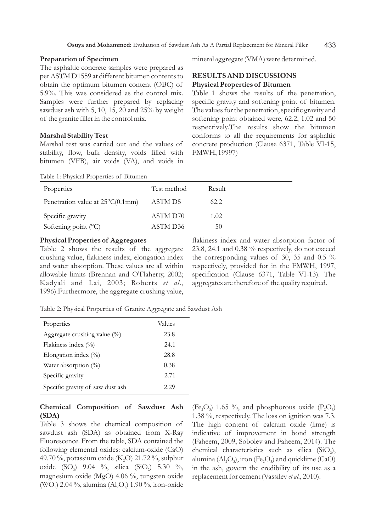# **Preparation of Specimen**

The asphaltic concrete samples were prepared as per ASTM D1559 at different bitumen contents to obtain the optimum bitumen content (OBC) of 5.9%. This was considered as the control mix. Samples were further prepared by replacing sawdust ash with 5, 10, 15, 20 and 25% by weight of the granite filler in the control mix.

#### **Marshal Stability Test**

Marshal test was carried out and the values of stability, flow, bulk density, voids filled with bitumen (VFB), air voids (VA), and voids in

Table 1: Physical Properties of Bitumen

mineral aggregate (VMA) were determined.

# **RESULTS AND DISCUSSIONS Physical Properties of Bitumen**

Table 1 shows the results of the penetration, specific gravity and softening point of bitumen. The values for the penetration, specific gravity and softening point obtained were, 62.2, 1.02 and 50 respectively.The results show the bitumen conforms to all the requirements for asphaltic concrete production (Clause 6371, Table VI-15, FMWH, 19997)

| Properties                                 | Test method | Result |  |
|--------------------------------------------|-------------|--------|--|
| Penetration value at $25^{\circ}C(0.1$ mm) | ASTM D5     | 62.2   |  |
| Specific gravity                           | ASTM D70    | 1.02   |  |
| Softening point $(^{\circ}C)$              | ASTM D36    | 50     |  |

#### **Physical Properties of Aggregates**

Table 2 shows the results of the aggregate crushing value, flakiness index, elongation index and water absorption. These values are all within allowable limits (Brennan and O'Flaherty, 2002; Kadyali and Lai, 2003; Roberts *et al*., 1996).Furthermore, the aggregate crushing value, flakiness index and water absorption factor of 23.8, 24.1 and 0.38 % respectively, do not exceed the corresponding values of 30, 35 and 0.5 % respectively, provided for in the FMWH, 1997, specification (Clause 6371, Table VI-13). The aggregates are therefore of the quality required.

Table 2: Physical Properties of Granite Aggregate and Sawdust Ash

| Properties                       | Values |
|----------------------------------|--------|
| Aggregate crushing value (%)     | 23.8   |
| Flakiness index $(\%$            | 24.1   |
| Elongation index $(\%$ )         | 28.8   |
| Water absorption $(\%)$          | 0.38   |
| Specific gravity                 | 2.71   |
| Specific gravity of saw dust ash | 2.29   |

# **Chemical Composition of Sawdust Ash (SDA)**

Table 3 shows the chemical composition of sawdust ash (SDA) as obtained from X-Ray Fluorescence. From the table, SDA contained the following elemental oxides: calcium-oxide (CaO) 49.70%, potassium oxide (K<sub>2</sub>O) 21.72%, sulphur oxide (SO<sub>3</sub>) 9.04 %, silica (SiO<sub>2</sub>) 5.30 %, magnesium oxide (MgO) 4.06 %, tungsten oxide (WO<sub>2</sub>) 2.04 %, alumina  $(Al_2O_3)$  1.90 %, iron-oxide (Fe<sub>2</sub>O<sub>3</sub>) 1.65 %, and phosphorous oxide (P<sub>2</sub>O<sub>5</sub>) 1.38 %, respectively. The loss on ignition was 7.3. The high content of calcium oxide (lime) is indicative of improvement in bond strength (Faheem, 2009, Sobolev and Faheem, 2014). The chemical characteristics such as silica  $(SiO<sub>2</sub>)$ , alumina  $(Al, O_3)$ , iron  $(Fe, O_3)$  and quicklime  $(CaO)$ in the ash, govern the credibility of its use as a replacement for cement (Vassilev *et al.*, 2010).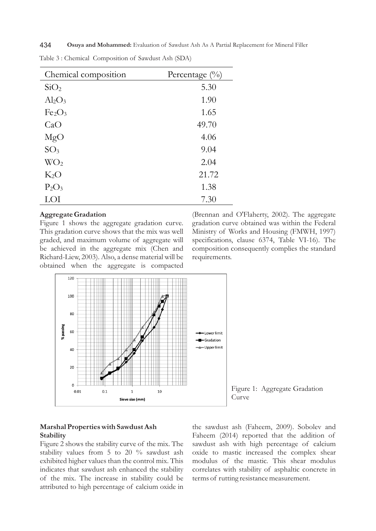434 **Osuya and Mohammed:** Evaluation of Sawdust Ash As A Partial Replacement for Mineral Filler

| Chemical composition           | Percentage $\binom{0}{0}$ |
|--------------------------------|---------------------------|
| SiO <sub>2</sub>               | 5.30                      |
| $Al_2O_3$                      | 1.90                      |
| Fe <sub>2</sub> O <sub>3</sub> | 1.65                      |
| CaO                            | 49.70                     |
| MgO                            | 4.06                      |
| SO <sub>3</sub>                | 9.04                      |
| WO <sub>2</sub>                | 2.04                      |
| $K_2O$                         | 21.72                     |
| $P_2O_3$                       | 1.38                      |
| LOI                            | 7.30                      |

Table 3 : Chemical Composition of Sawdust Ash (SDA)

### **Aggregate Gradation**

Figure 1 shows the aggregate gradation curve. This gradation curve shows that the mix was well graded, and maximum volume of aggregate will be achieved in the aggregate mix (Chen and Richard-Liew, 2003). Also, a dense material will be obtained when the aggregate is compacted (Brennan and O'Flaherty, 2002). The aggregate gradation curve obtained was within the Federal Ministry of Works and Housing (FMWH, 1997) specifications, clause 6374, Table VI-16). The composition consequently complies the standard requirements.



Figure 1: Aggregate Gradation Curve

# **Marshal Properties with Sawdust Ash Stability**

Figure 2 shows the stability curve of the mix. The stability values from 5 to 20 % sawdust ash exhibited higher values than the control mix. This indicates that sawdust ash enhanced the stability of the mix. The increase in stability could be attributed to high percentage of calcium oxide in the sawdust ash (Faheem, 2009). Sobolev and Faheem (2014) reported that the addition of sawdust ash with high percentage of calcium oxide to mastic increased the complex shear modulus of the mastic. This shear modulus correlates with stability of asphaltic concrete in terms of rutting resistance measurement.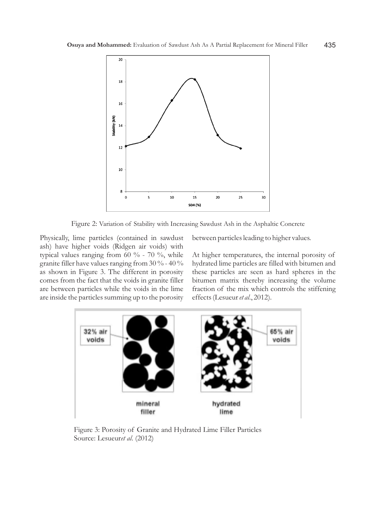

Figure 2: Variation of Stability with Increasing Sawdust Ash in the Asphaltic Concrete

Physically, lime particles (contained in sawdust ash) have higher voids (Ridgen air voids) with typical values ranging from 60 % - 70 %, while granite filler have values ranging from  $30\%$  -  $40\%$ as shown in Figure 3. The different in porosity comes from the fact that the voids in granite filler are between particles while the voids in the lime are inside the particles summing up to the porosity between particles leading to higher values.

At higher temperatures, the internal porosity of hydrated lime particles are filled with bitumen and these particles are seen as hard spheres in the bitumen matrix thereby increasing the volume fraction of the mix which controls the stiffening effects (Lesueur *et al*., 2012).



Figure 3: Porosity of Granite and Hydrated Lime Filler Particles Source: Lesueur*et al*. (2012)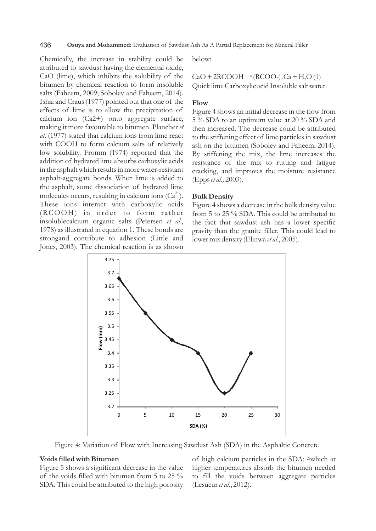436 **Osuya and Mohammed:** Evaluation of Sawdust Ash As A Partial Replacement for Mineral Filler

Chemically, the increase in stability could be attributed to sawdust having the elemental oxide, CaO (lime), which inhibits the solubility of the bitumen by chemical reaction to form insoluble salts (Faheem, 2009; Sobolev and Faheem, 2014). Ishai and Craus (1977) pointed out that one of the effects of lime is to allow the precipitation of calcium ion (Ca2+) onto aggregate surface, making it more favourable to bitumen. Plancher *et al*. (1977) stated that calcium ions from lime react with COOH to form calcium salts of relatively low solubility. Fromm (1974) reported that the addition of hydrated lime absorbs carboxylic acids in the asphalt which results in more water-resistant asphalt-aggregate bonds. When lime is added to the asphalt, some dissociation of hydrated lime molecules occurs, resulting in calcium ions  $(Ca^{2+})$ . These ions interact with carboxylic acids (RCOOH) in order to form rather insolublecalcium organic salts (Petersen *et al*., 1978) as illustrated in equation 1. These bonds are strongand contribute to adhesion (Little and Jones, 2003). The chemical reaction is as shown below:

 $CaO + 2RCOOH \rightarrow (RCOO<sub>-</sub>), Ca + H<sub>2</sub>O(1)$ Quick lime Carboxylic acid Insoluble salt water.

# **Flow**

Figure 4 shows an initial decrease in the flow from 5 % SDA to an optimum value at 20 % SDA and then increased. The decrease could be attributed to the stiffening effect of lime particles in sawdust ash on the bitumen (Sobolev and Faheem, 2014). By stiffening the mix, the lime increases the resistance of the mix to rutting and fatigue cracking, and improves the moisture resistance (Epps *et al.,* 2003).

#### **Bulk Density**

Figure 4 shows a decrease in the bulk density value from 5 to 25 % SDA. This could be attributed to the fact that sawdust ash has a lower specific gravity than the granite filler. This could lead to lower mix density (Elinwa *et al*., 2005).



Figure 4: Variation of Flow with Increasing Sawdust Ash (SDA) in the Asphaltic Concrete

#### **Voids filled with Bitumen**

Figure 5 shows a significant decrease in the value of the voids filled with bitumen from 5 to 25 % SDA. This could be attributed to the high porosity

of high calcium particles in the SDA; 4which at higher temperatures absorb the bitumen needed to fill the voids between aggregate particles (Lesueur *et al.*, 2012).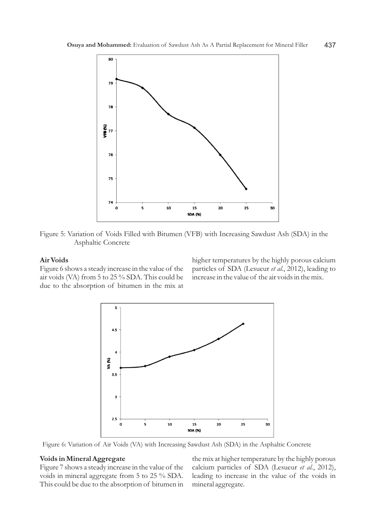

Figure 5: Variation of Voids Filled with Bitumen (VFB) with Increasing Sawdust Ash (SDA) in the Asphaltic Concrete

# **Air Voids**

Figure 6 shows a steady increase in the value of the air voids (VA) from 5 to 25 % SDA. This could be due to the absorption of bitumen in the mix at higher temperatures by the highly porous calcium particles of SDA (Lesueur *et al.*, 2012), leading to increase in the value of the air voids in the mix.



Figure 6: Variation of Air Voids (VA) with Increasing Sawdust Ash (SDA) in the Asphaltic Concrete

# **Voids in Mineral Aggregate**

Figure 7 shows a steady increase in the value of the voids in mineral aggregate from 5 to 25 % SDA. This could be due to the absorption of bitumen in the mix at higher temperature by the highly porous calcium particles of SDA (Lesueur *et al.*, 2012), leading to increase in the value of the voids in mineral aggregate.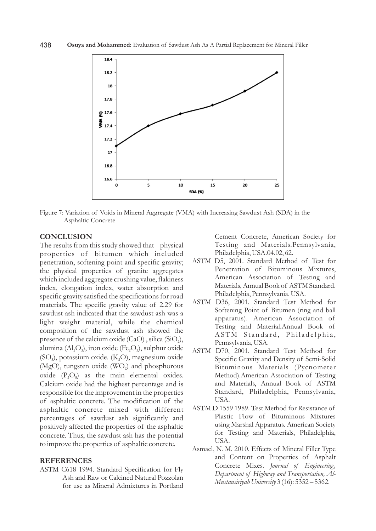

Figure 7: Variation of Voids in Mineral Aggregate (VMA) with Increasing Sawdust Ash (SDA) in the Asphaltic Concrete

# **CONCLUSION**

The results from this study showed that physical properties of bitumen which included penetration, softening point and specific gravity; the physical properties of granite aggregates which included aggregate crushing value, flakiness index, elongation index, water absorption and specific gravity satisfied the specifications for road materials. The specific gravity value of 2.29 for sawdust ash indicated that the sawdust ash was a light weight material, while the chemical composition of the sawdust ash showed the presence of the calcium oxide  $(CaO)$ , silica  $(SiO<sub>2</sub>)$ , alumina  $(Al_2O_3)$ , iron oxide (Fe,O<sub>3</sub>), sulphur oxide  $(SO_3)$ , potassium oxide.  $(K_2O)$ , magnesium oxide  $(MgO)$ , tungsten oxide  $(WO<sub>2</sub>)$  and phosphorous oxide  $(P_2O_5)$  as the main elemental oxides. Calcium oxide had the highest percentage and is responsible for the improvement in the properties of asphaltic concrete. The modification of the asphaltic concrete mixed with different percentages of sawdust ash significantly and positively affected the properties of the asphaltic concrete. Thus, the sawdust ash has the potential to improve the properties of asphaltic concrete.

#### **REFERENCES**

ASTM C618 1994. Standard Specification for Fly Ash and Raw or Calcined Natural Pozzolan for use as Mineral Admixtures in Portland

Cement Concrete, American Society for Testing and Materials.Pennsylvania, Philadelphia, USA.04.02, 62.

- ASTM D5, 2001. Standard Method of Test for Penetration of Bituminous Mixtures, American Association of Testing and Materials, Annual Book of ASTM Standard. Philadelphia, Pennsylvania. USA.
- ASTM D36, 2001. Standard Test Method for Softening Point of Bitumen (ring and ball apparatus). American Association of Testing and Material.Annual Book of ASTM Standard, Philadelphia, Pennsylvania, USA.
- ASTM D70, 2001. Standard Test Method for Specific Gravity and Density of Semi-Solid Bituminous Materials (Pycnometer Method).American Association of Testing and Materials, Annual Book of ASTM Standard, Philadelphia, Pennsylvania, USA.
- ASTM D 1559 1989. Test Method for Resistance of Plastic Flow of Bituminous Mixtures using Marshal Apparatus. American Society for Testing and Materials, Philadelphia, USA.
- Asmael, N. M. 2010. Effects of Mineral Filler Type and Content on Properties of Asphalt Concrete Mixes*. Journal of Engineering, Department of Highway and Transportation, Al-Mustansiriyah University* 3 (16): 5352 – 5362.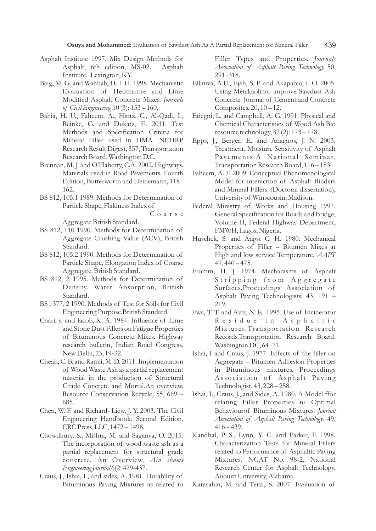- Asphalt Institute 1997. Mix Design Methods for Asphalt, 6th edition, MS-02. Asphalt Institute. Lexington, KY.
- Baig, M. G. and Wahhab, H. I. H. 1998. Mechanistic Evaluation of Hedmanite and Lime Modified Asphalt Concrete Mixes. *Journals of Civil Engineering* 10 (3): 153 – 160.
- Bahia, H. U., Faheem, A., Hintz, C., Al-Qadi, I., Reinke, G. and Dukatz, E. 2011. Test Methods and Specification Criteria for Mineral Filler used in HMA. NCHRP Research Result Digest, 357, Transportation Research Board, Washington D.C.
- Brennan, M. J. and O'Flaherty, C.A. 2002. Highways. Materials used in Road Pavements. Fourth Edition, Butterworth and Heinemann, 118 - 162.
- BS 812, 105.1 1989. Methods for Determination of Particle Shape, Flakiness Index of

C o a r s e

Aggregate.British Standard.

- BS 812, 110 1990. Methods for Determination of Aggregate Crushing Value (ACV), British Standard.
- BS 812, 105.2 1990. Methods for Determination of Particle Shape, Elongation Index of Coarse Aggregate. British Standard.
- BS 812, 2 1995. Methods for Determination of Density. Water Absorption, British Standard.
- BS 1377, 2 1990. Methods of Test for Soils for Civil Engineering Purpose.British Standard.
- Chari, s. and Jacob, K. A. 1984. Influence of Lime and Stone Dust Fillers on Fatigue Properties of Bituminous Concrete Mixes. Highway research bulletin, Indian Road Congress, New Delhi, 23, 19-32.
- Cheah, C. B. and Ramli, M. D. 2011.Implementation of Wood Waste Ash as a partial replacement material in the production of Structural Grade Concrete and Mortal.An overview, Resource Conservation Recycle, 55, 669 – 685.
- Chen, W. F. and Richard- Liew, J. Y. 2003. The Civil Engineering Handbook. Second Edition, CRC Press, LLC, 1472 – 1498.
- Chowdhury, S., Mishra, M. and Saganya, O. 2015. The incorporation of wood waste ash as a partial replacement for structural grade concrete. An Overview. *Ain shams Engineering Journal* 6(2: 429-437.
- Craus, J., Ishai, I., and sides, A. 1981. Durability of Bituminous Paving Mixtures as related to

Filler Types and Properties. *Journals Association of Asphalt Paving Technology* 50, 291 -318.

- Ellinwa, A.U., Ejeh, S. P. and Akapabio, I. O. 2005. Using Metakaolinto improve Sawdust Ash Concrete. Journal of Cement and Concrete Composites, 20, 10 – 12.
- Etiegni, L. and Campbell, A. G. 1991. Physical and Chemical Characteristics of Wood Ash.Bio resource technology, 37 (2): 173 – 178.
- Epps, J., Berger, E. and Anagnos, J. N. 2003. Treatment, Moisture Sensitivity of Asphalt Pavements.A National Seminar. Transportation Research Board, 116 – 183.
- Faheem, A. F. 2009. Conceptual Phenomenological Model for interaction of Asphalt Binders and Mineral Fillers. (Doctoral dissertation), University of Winscousin, Madison.
- Federal Ministry of Works and Housing 1997. General Specification for Roads and Bridge, Volume II, Federal Highway Department, FMWH, Lagos, Nigeria.
- Huschek, S. and Angst C. H. 1980. Mechanical Properties of Filler – Bitumen Mixes at High and low service Temperature. *AAPT*  $49,440 - 475.$
- Fromm, H. J. 1974. Mechanisms of Asphalt Stripping from Aggregate Surfaces.Proceedings Association of Asphalt Paving Technologists. 43, 191 – 219.
- Fwa, T. T. and Aziz, N. K. 1995. Use of Incinerator Residue in Asphaltic Mixtures. Transportation Research Records.Transportation Research Board. Washington DC, 64 -71.
- Ishai, I and Craus, J. 1977. Effects of the filler on Aggregate – Bitumen Adhesion Properties in Bituminous mixtures, Proceedings Association of Asphalt Paving Technologist. 43, 228 – 258.
- Ishai, I., Craus, J., and Sides, A. 1980. A Model ffor relating Filler Properties to Optimal Behaviourof Bituminous Mixtures. *Journal Association of Asphalt Paving Technology.* 49,  $416 - 439.$
- Kandhal, P. S., Lynn, Y. C. and Parker, F. 1998. Characterization Tests for Mineral Fillers related to Performance of Asphaltic Paving Mixtures**.** NCAT No. 98-2, National Research Center for Asphalt Technology, Auburn University, Alabama.

Karasahin, M. and Terzi, S. 2007. Evaluation of